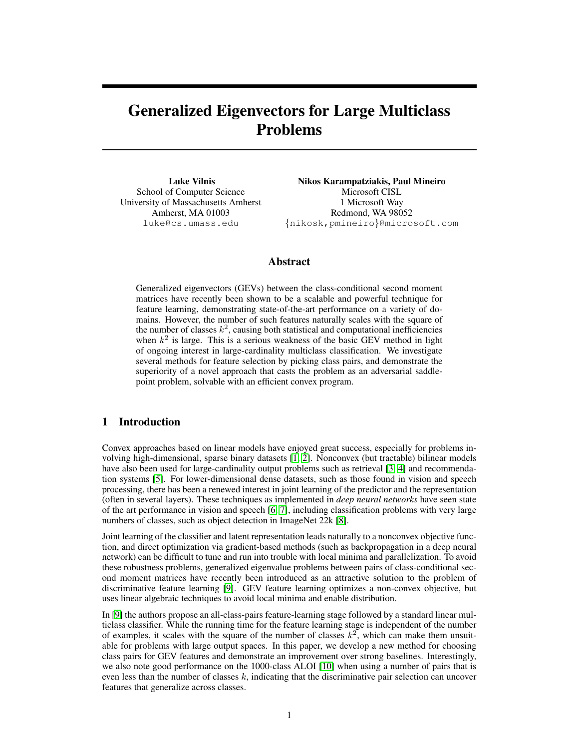# Generalized Eigenvectors for Large Multiclass Problems

Luke Vilnis School of Computer Science University of Massachusetts Amherst Amherst, MA 01003 luke@cs.umass.edu

Nikos Karampatziakis, Paul Mineiro Microsoft CISL 1 Microsoft Way Redmond, WA 98052 {nikosk,pmineiro}@microsoft.com

### Abstract

Generalized eigenvectors (GEVs) between the class-conditional second moment matrices have recently been shown to be a scalable and powerful technique for feature learning, demonstrating state-of-the-art performance on a variety of domains. However, the number of such features naturally scales with the square of the number of classes  $k^2$ , causing both statistical and computational inefficiencies when  $k^2$  is large. This is a serious weakness of the basic GEV method in light of ongoing interest in large-cardinality multiclass classification. We investigate several methods for feature selection by picking class pairs, and demonstrate the superiority of a novel approach that casts the problem as an adversarial saddlepoint problem, solvable with an efficient convex program.

# 1 Introduction

Convex approaches based on linear models have enjoyed great success, especially for problems involving high-dimensional, sparse binary datasets [\[1,](#page-3-0) [2\]](#page-4-0). Nonconvex (but tractable) bilinear models have also been used for large-cardinality output problems such as retrieval [\[3,](#page-4-1) [4\]](#page-4-2) and recommendation systems [\[5\]](#page-4-3). For lower-dimensional dense datasets, such as those found in vision and speech processing, there has been a renewed interest in joint learning of the predictor and the representation (often in several layers). These techniques as implemented in *deep neural networks* have seen state of the art performance in vision and speech [\[6,](#page-4-4) [7\]](#page-4-5), including classification problems with very large numbers of classes, such as object detection in ImageNet 22k [\[8\]](#page-4-6).

Joint learning of the classifier and latent representation leads naturally to a nonconvex objective function, and direct optimization via gradient-based methods (such as backpropagation in a deep neural network) can be difficult to tune and run into trouble with local minima and parallelization. To avoid these robustness problems, generalized eigenvalue problems between pairs of class-conditional second moment matrices have recently been introduced as an attractive solution to the problem of discriminative feature learning [\[9\]](#page-4-7). GEV feature learning optimizes a non-convex objective, but uses linear algebraic techniques to avoid local minima and enable distribution.

In [\[9\]](#page-4-7) the authors propose an all-class-pairs feature-learning stage followed by a standard linear multiclass classifier. While the running time for the feature learning stage is independent of the number of examples, it scales with the square of the number of classes  $k^2$ , which can make them unsuitable for problems with large output spaces. In this paper, we develop a new method for choosing class pairs for GEV features and demonstrate an improvement over strong baselines. Interestingly, we also note good performance on the 1000-class ALOI [\[10\]](#page-4-8) when using a number of pairs that is even less than the number of classes  $k$ , indicating that the discriminative pair selection can uncover features that generalize across classes.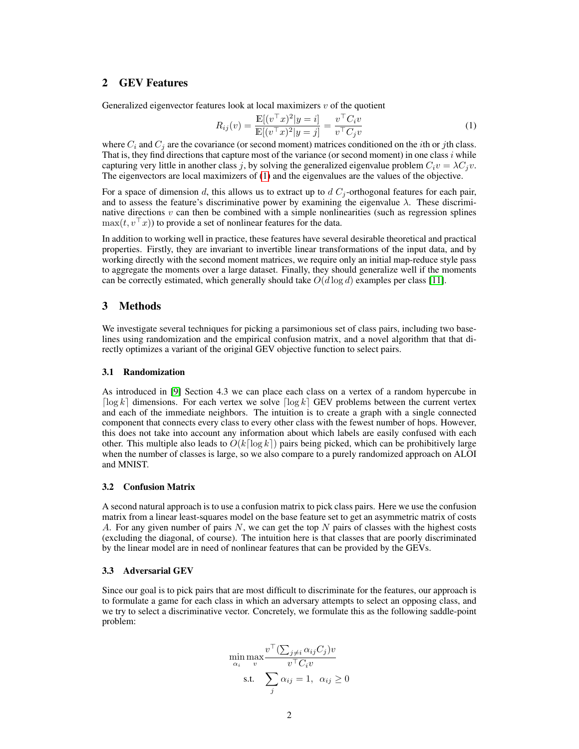# 2 GEV Features

Generalized eigenvector features look at local maximizers  $v$  of the quotient

<span id="page-1-0"></span>
$$
R_{ij}(v) = \frac{\mathbb{E}[(v^\top x)^2 | y = i]}{\mathbb{E}[(v^\top x)^2 | y = j]} = \frac{v^\top C_i v}{v^\top C_j v}
$$
(1)

where  $C_i$  and  $C_j$  are the covariance (or second moment) matrices conditioned on the *i*th or *j*th class. That is, they find directions that capture most of the variance (or second moment) in one class  $i$  while capturing very little in another class j, by solving the generalized eigenvalue problem  $C_i v = \lambda C_i v$ . The eigenvectors are local maximizers of [\(1\)](#page-1-0) and the eigenvalues are the values of the objective.

For a space of dimension d, this allows us to extract up to  $d C_i$ -orthogonal features for each pair, and to assess the feature's discriminative power by examining the eigenvalue  $\lambda$ . These discriminative directions  $v$  can then be combined with a simple nonlinearities (such as regression splines  $\max(t, v^{\top}x)$  to provide a set of nonlinear features for the data.

In addition to working well in practice, these features have several desirable theoretical and practical properties. Firstly, they are invariant to invertible linear transformations of the input data, and by working directly with the second moment matrices, we require only an initial map-reduce style pass to aggregate the moments over a large dataset. Finally, they should generalize well if the moments can be correctly estimated, which generally should take  $O(d \log d)$  examples per class [\[11\]](#page-4-9).

### 3 Methods

We investigate several techniques for picking a parsimonious set of class pairs, including two baselines using randomization and the empirical confusion matrix, and a novel algorithm that that directly optimizes a variant of the original GEV objective function to select pairs.

#### 3.1 Randomization

As introduced in [\[9\]](#page-4-7) Section 4.3 we can place each class on a vertex of a random hypercube in  $\lceil \log k \rceil$  dimensions. For each vertex we solve  $\lceil \log k \rceil$  GEV problems between the current vertex and each of the immediate neighbors. The intuition is to create a graph with a single connected component that connects every class to every other class with the fewest number of hops. However, this does not take into account any information about which labels are easily confused with each other. This multiple also leads to  $O(k \log k)$  pairs being picked, which can be prohibitively large when the number of classes is large, so we also compare to a purely randomized approach on ALOI and MNIST.

#### 3.2 Confusion Matrix

A second natural approach is to use a confusion matrix to pick class pairs. Here we use the confusion matrix from a linear least-squares model on the base feature set to get an asymmetric matrix of costs A. For any given number of pairs  $N$ , we can get the top  $N$  pairs of classes with the highest costs (excluding the diagonal, of course). The intuition here is that classes that are poorly discriminated by the linear model are in need of nonlinear features that can be provided by the GEVs.

#### 3.3 Adversarial GEV

Since our goal is to pick pairs that are most difficult to discriminate for the features, our approach is to formulate a game for each class in which an adversary attempts to select an opposing class, and we try to select a discriminative vector. Concretely, we formulate this as the following saddle-point problem:

$$
\min_{\alpha_i} \max_{v} \frac{v^\top (\sum_{j \neq i} \alpha_{ij} C_j) v}{v^\top C_i v}
$$
  
s.t. 
$$
\sum_j \alpha_{ij} = 1, \ \alpha_{ij} \ge 0
$$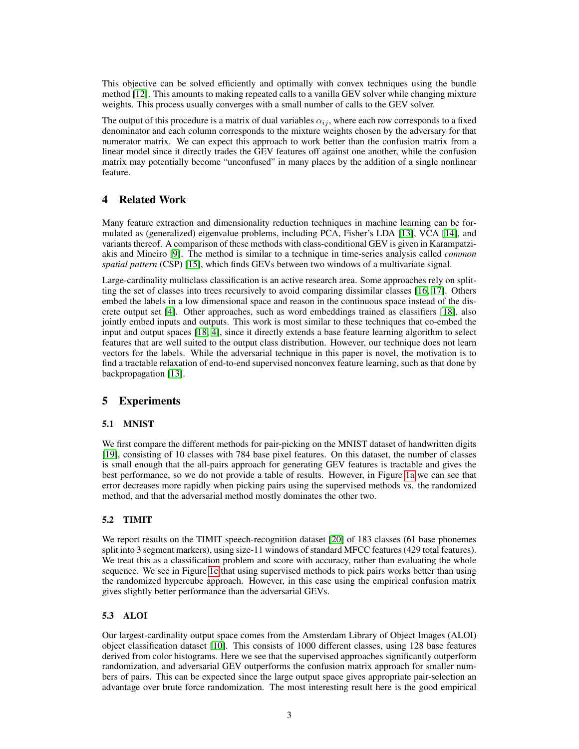This objective can be solved efficiently and optimally with convex techniques using the bundle method [\[12\]](#page-4-10). This amounts to making repeated calls to a vanilla GEV solver while changing mixture weights. This process usually converges with a small number of calls to the GEV solver.

The output of this procedure is a matrix of dual variables  $\alpha_{ij}$ , where each row corresponds to a fixed denominator and each column corresponds to the mixture weights chosen by the adversary for that numerator matrix. We can expect this approach to work better than the confusion matrix from a linear model since it directly trades the GEV features off against one another, while the confusion matrix may potentially become "unconfused" in many places by the addition of a single nonlinear feature.

# 4 Related Work

Many feature extraction and dimensionality reduction techniques in machine learning can be formulated as (generalized) eigenvalue problems, including PCA, Fisher's LDA [\[13\]](#page-4-11), VCA [\[14\]](#page-4-12), and variants thereof. A comparison of these methods with class-conditional GEV is given in Karampatziakis and Mineiro [\[9\]](#page-4-7). The method is similar to a technique in time-series analysis called *common spatial pattern* (CSP) [\[15\]](#page-4-13), which finds GEVs between two windows of a multivariate signal.

Large-cardinality multiclass classification is an active research area. Some approaches rely on splitting the set of classes into trees recursively to avoid comparing dissimilar classes [\[16,](#page-4-14) [17\]](#page-4-15). Others embed the labels in a low dimensional space and reason in the continuous space instead of the discrete output set [\[4\]](#page-4-2). Other approaches, such as word embeddings trained as classifiers [\[18\]](#page-4-16), also jointly embed inputs and outputs. This work is most similar to these techniques that co-embed the input and output spaces [\[18,](#page-4-16) [4\]](#page-4-2), since it directly extends a base feature learning algorithm to select features that are well suited to the output class distribution. However, our technique does not learn vectors for the labels. While the adversarial technique in this paper is novel, the motivation is to find a tractable relaxation of end-to-end supervised nonconvex feature learning, such as that done by backpropagation [\[13\]](#page-4-11).

# 5 Experiments

# 5.1 MNIST

We first compare the different methods for pair-picking on the MNIST dataset of handwritten digits [\[19\]](#page-4-17), consisting of 10 classes with 784 base pixel features. On this dataset, the number of classes is small enough that the all-pairs approach for generating GEV features is tractable and gives the best performance, so we do not provide a table of results. However, in Figure [1a](#page-3-1) we can see that error decreases more rapidly when picking pairs using the supervised methods vs. the randomized method, and that the adversarial method mostly dominates the other two.

# 5.2 TIMIT

We report results on the TIMIT speech-recognition dataset [\[20\]](#page-4-18) of 183 classes (61 base phonemes split into 3 segment markers), using size-11 windows of standard MFCC features (429 total features). We treat this as a classification problem and score with accuracy, rather than evaluating the whole sequence. We see in Figure [1c](#page-3-1) that using supervised methods to pick pairs works better than using the randomized hypercube approach. However, in this case using the empirical confusion matrix gives slightly better performance than the adversarial GEVs.

# 5.3 ALOI

Our largest-cardinality output space comes from the Amsterdam Library of Object Images (ALOI) object classification dataset [\[10\]](#page-4-8). This consists of 1000 different classes, using 128 base features derived from color histograms. Here we see that the supervised approaches significantly outperform randomization, and adversarial GEV outperforms the confusion matrix approach for smaller numbers of pairs. This can be expected since the large output space gives appropriate pair-selection an advantage over brute force randomization. The most interesting result here is the good empirical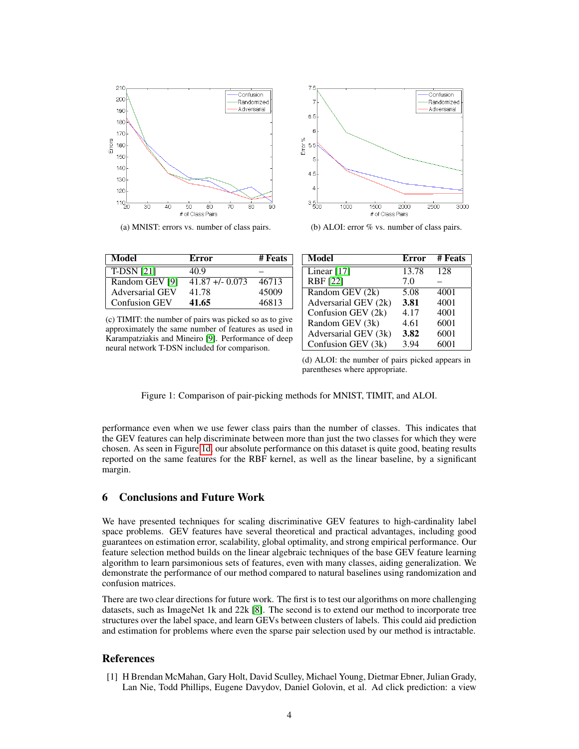<span id="page-3-1"></span>



(a) MNIST: errors vs. number of class pairs. (b) ALOI: error % vs. number of class pairs.

| Model                  | Error              | # Feats |
|------------------------|--------------------|---------|
| <b>T-DSN [21]</b>      | 40.9               |         |
| Random GEV [9]         | $41.87 + (-0.073)$ | 46713   |
| <b>Adversarial GEV</b> | 41.78              | 45009   |
| <b>Confusion GEV</b>   | 41.65              | 46813   |

(c) TIMIT: the number of pairs was picked so as to give approximately the same number of features as used in Karampatziakis and Mineiro [\[9\]](#page-4-7). Performance of deep neural network T-DSN included for comparison.

| Model                | <b>Error</b> | # Feats |
|----------------------|--------------|---------|
| Linear $[17]$        | 13.78        | 128     |
| <b>RBF</b> [22]      | 7.0          |         |
| Random GEV $(2k)$    | 5.08         | 4001    |
| Adversarial GEV (2k) | 3.81         | 4001    |
| Confusion GEV (2k)   | 4.17         | 4001    |
| Random GEV (3k)      | 4.61         | 6001    |
| Adversarial GEV (3k) | 3.82         | 6001    |
| Confusion GEV (3k)   | 3.94         | 6001    |

(d) ALOI: the number of pairs picked appears in parentheses where appropriate.

|  |  |  | Figure 1: Comparison of pair-picking methods for MNIST, TIMIT, and ALOI. |  |  |  |
|--|--|--|--------------------------------------------------------------------------|--|--|--|
|  |  |  |                                                                          |  |  |  |

performance even when we use fewer class pairs than the number of classes. This indicates that the GEV features can help discriminate between more than just the two classes for which they were chosen. As seen in Figure [1d,](#page-3-1) our absolute performance on this dataset is quite good, beating results reported on the same features for the RBF kernel, as well as the linear baseline, by a significant margin.

### 6 Conclusions and Future Work

We have presented techniques for scaling discriminative GEV features to high-cardinality label space problems. GEV features have several theoretical and practical advantages, including good guarantees on estimation error, scalability, global optimality, and strong empirical performance. Our feature selection method builds on the linear algebraic techniques of the base GEV feature learning algorithm to learn parsimonious sets of features, even with many classes, aiding generalization. We demonstrate the performance of our method compared to natural baselines using randomization and confusion matrices.

There are two clear directions for future work. The first is to test our algorithms on more challenging datasets, such as ImageNet 1k and 22k [\[8\]](#page-4-6). The second is to extend our method to incorporate tree structures over the label space, and learn GEVs between clusters of labels. This could aid prediction and estimation for problems where even the sparse pair selection used by our method is intractable.

### References

<span id="page-3-0"></span>[1] H Brendan McMahan, Gary Holt, David Sculley, Michael Young, Dietmar Ebner, Julian Grady, Lan Nie, Todd Phillips, Eugene Davydov, Daniel Golovin, et al. Ad click prediction: a view